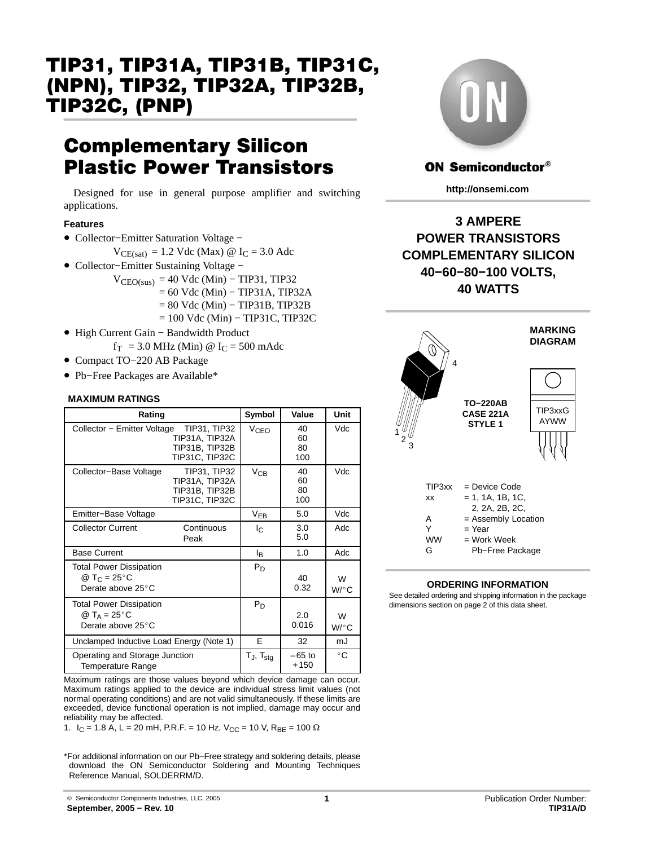# TIP31, TIP31A, TIP31B, TIP31C, (NPN), TIP32, TIP32A, TIP32B, TIP32C, (PNP)

# Complementary Silicon Plastic Power Transistors

Designed for use in general purpose amplifier and switching applications.

#### **Features**

- Collector−Emitter Saturation Voltage −
	- $V_{CE(sat)} = 1.2$  Vdc (Max) @ I<sub>C</sub> = 3.0 Adc
- Collector−Emitter Sustaining Voltage −

 $V_{\text{CEO(sus)}} = 40 \text{ Vdc (Min)} - \text{TIP31, TIP32}$ = 60 Vdc (Min) − TIP31A, TIP32A = 80 Vdc (Min) − TIP31B, TIP32B = 100 Vdc (Min) − TIP31C, TIP32C

- High Current Gain − Bandwidth Product
	- $f_T = 3.0 \text{ MHz (Min)} @ I_C = 500 \text{ m} \text{ Adc}$
- Compact TO−220 AB Package
- Pb−Free Packages are Available\*

#### **MAXIMUM RATINGS**

| Rating                                                                          |                                                                    | Symbol                            | Value                 | Unit         |                                                 | CAS            |
|---------------------------------------------------------------------------------|--------------------------------------------------------------------|-----------------------------------|-----------------------|--------------|-------------------------------------------------|----------------|
| Collector - Emitter Voltage                                                     | TIP31, TIP32<br>TIP31A, TIP32A<br>TIP31B, TIP32B<br>TIP31C, TIP32C | V <sub>CEO</sub>                  | 40<br>60<br>80<br>100 | Vdc          | 3                                               | <b>ST</b>      |
| Collector-Base Voltage                                                          | TIP31, TIP32<br>TIP31A, TIP32A<br>TIP31B, TIP32B<br>TIP31C, TIP32C | $V_{CB}$                          | 40<br>60<br>80<br>100 | Vdc          | TIP3xx<br>XX                                    | = De<br>= 1.   |
| Emitter-Base Voltage                                                            |                                                                    | $V_{EB}$                          | 5.0                   | Vdc          | A                                               | 2,<br>$= As$   |
| <b>Collector Current</b>                                                        | Continuous<br>Peak                                                 | $I_{\rm C}$                       | 3.0<br>5.0            | Adc          | Y<br><b>WW</b>                                  | = Ye<br>$= W0$ |
| <b>Base Current</b>                                                             |                                                                    | l <sub>R</sub>                    | 1.0                   | Adc          | G                                               | Pb             |
| <b>Total Power Dissipation</b><br>@ T <sub>C</sub> = 25 °C<br>Derate above 25°C |                                                                    | $P_D$                             | 40<br>0.32            | W<br>$W$ /°C | <b>ORDERING</b><br>See detailed ordering and sh |                |
| <b>Total Power Dissipation</b><br>@ $T_A = 25^{\circ}C$<br>Derate above 25°C    |                                                                    | $P_D$                             | 2.0<br>0.016          | W<br>$W$ /°C | dimensions section on page                      |                |
| Unclamped Inductive Load Energy (Note 1)                                        |                                                                    | E                                 | 32                    | mJ           |                                                 |                |
| Operating and Storage Junction<br>Temperature Range                             |                                                                    | T <sub>J</sub> , T <sub>stg</sub> | $-65$ to<br>$+150$    | $^{\circ}$ C |                                                 |                |

Maximum ratings applied to the device are individual stress limit values (not Maximum ratings are those values beyond which device damage can occur. normal operating conditions) and are not valid simultaneously. If these limits are exceeded, device functional operation is not implied, damage may occur and reliability may be affected.

1.  $I_C = 1.8$  A, L = 20 mH, P.R.F. = 10 Hz, V<sub>CC</sub> = 10 V, R<sub>BE</sub> = 100  $\Omega$ 

\*For additional information on our Pb−Free strategy and soldering details, please download the ON Semiconductor Soldering and Mounting Techniques Reference Manual, SOLDERRM/D.



## **ON Semiconductor®**

**http://onsemi.com**

# **3 AMPERE POWER TRANSISTORS COMPLEMENTARY SILICON 40−60−80−100 VOLTS, 40 WATTS**



#### **ORDERING INFORMATION**

ÎÎÎÎ ÎÎ ÎÎ See detailed ordering and shipping information in the package **E**<sub>D</sub> **I**<sup>2</sup> **I**<sub>2</sub> **I**<sub>2</sub> **I**<sub>2</sub> **I**<sub>2</sub> **I**<sub>2</sub> **I**<sub>2</sub> **I**<sub>2</sub> **I**<sub>3</sub> **I**<sub>2</sub> **I**<sub>3</sub> **I**<sub>3</sub> **I**<sub>3</sub> **I**<sub>3</sub> **I**<sub>3</sub> **I**<sub>3</sub> **I**<sub>3</sub> **I**<sub>3</sub> **I**<sub>3</sub> **I**<sub>3</sub> **I**<sub>3</sub> **I**<sub>3</sub> **I**<sub>3</sub> **I**<sub>3</sub> **I**<sub>3</sub> **I**<sub>3</sub> **I**<sub>3</sub> **I**<sub>3</sub> **I**<sub>3</sub> **I**<sub>3</sub> **I**<sub>3</sub>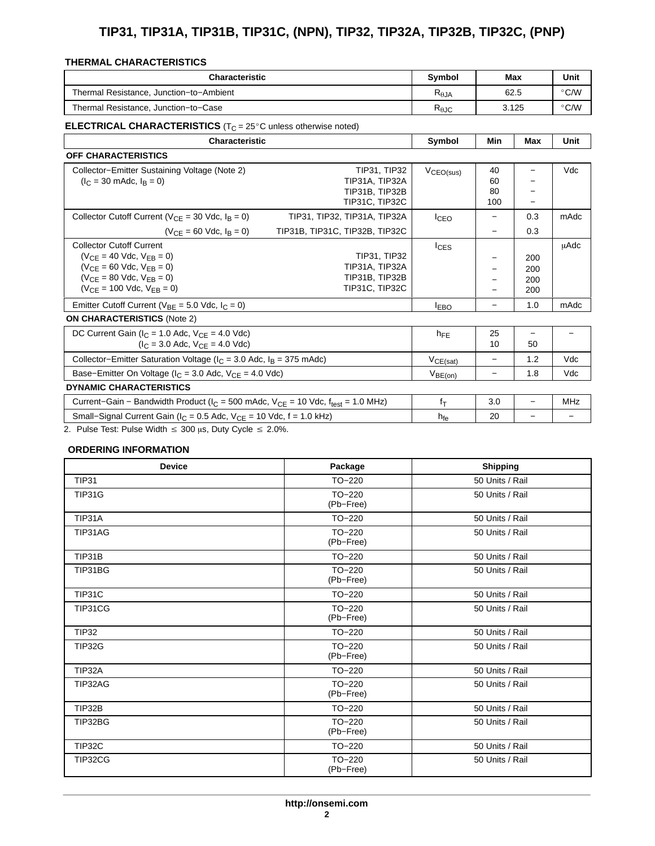# **TIP31, TIP31A, TIP31B, TIP31C, (NPN), TIP32, TIP32A, TIP32B, TIP32C, (PNP)**

#### THERMAL CHARACTERISTICS

<span id="page-1-0"></span>

| <b>Characteristic</b>                   | <b>Symbol</b>          | Max   | Unit          |
|-----------------------------------------|------------------------|-------|---------------|
| Thermal Resistance, Junction-to-Ambient | $R_{\theta,JA}$        | 62.5  | $\degree$ C/W |
| Thermal Resistance, Junction-to-Case    | $R_{\theta \text{JC}}$ | 3.125 | $\degree$ C/W |

| <b>Characteristic</b>                                                                         |                                |                       | Min                      | <b>Max</b>               | <b>Unit</b> |
|-----------------------------------------------------------------------------------------------|--------------------------------|-----------------------|--------------------------|--------------------------|-------------|
| <b>OFF CHARACTERISTICS</b>                                                                    |                                |                       |                          |                          |             |
| Collector-Emitter Sustaining Voltage (Note 2)                                                 | TIP31, TIP32                   | V <sub>CEO(sus)</sub> | 40                       | —                        | Vdc         |
| $(I_C = 30 \text{ m}$ Adc, $I_B = 0$ )                                                        | TIP31A, TIP32A                 |                       | 60                       |                          |             |
|                                                                                               | TIP31B, TIP32B                 |                       | 80                       |                          |             |
|                                                                                               | TIP31C, TIP32C                 |                       | 100                      |                          |             |
| Collector Cutoff Current ( $V_{CF}$ = 30 Vdc, $I_B$ = 0)                                      | TIP31, TIP32, TIP31A, TIP32A   | <sup>I</sup> CEO      | -                        | 0.3                      | mAdc        |
| $(V_{CF} = 60$ Vdc, $I_R = 0$ )                                                               | TIP31B, TIP31C, TIP32B, TIP32C |                       | $\qquad \qquad$          | 0.3                      |             |
| <b>Collector Cutoff Current</b>                                                               |                                | <b>I</b> CES          |                          |                          | μAdc        |
| $(V_{CF} = 40$ Vdc, $V_{FR} = 0$ )                                                            | TIP31, TIP32                   |                       |                          | 200                      |             |
| $(V_{CF} = 60$ Vdc, $V_{FB} = 0)$                                                             | TIP31A, TIP32A                 |                       | -                        | 200                      |             |
| $(V_{CF} = 80$ Vdc, $V_{FR} = 0$ )                                                            | TIP31B, TIP32B                 |                       |                          | 200                      |             |
| $(V_{CF} = 100$ Vdc, $V_{FR} = 0$ )                                                           | TIP31C, TIP32C                 |                       |                          | 200                      |             |
| Emitter Cutoff Current ( $V_{BE}$ = 5.0 Vdc, $I_C$ = 0)                                       |                                |                       | —                        | 1.0                      | mAdc        |
| <b>ON CHARACTERISTICS (Note 2)</b>                                                            |                                |                       |                          |                          |             |
| DC Current Gain ( $I_C$ = 1.0 Adc, $V_{CF}$ = 4.0 Vdc)                                        |                                | $h_{FE}$              | 25                       |                          |             |
| $I_C = 3.0$ Adc, $V_{CF} = 4.0$ Vdc)                                                          |                                |                       | 10                       | 50                       |             |
| Collector-Emitter Saturation Voltage ( $I_C$ = 3.0 Adc, $I_B$ = 375 mAdc)                     |                                | $V_{CE(sat)}$         | $\overline{\phantom{m}}$ | 1.2                      | Vdc         |
| Base-Emitter On Voltage ( $I_C$ = 3.0 Adc, $V_{CE}$ = 4.0 Vdc)                                |                                | $V_{BE(0n)}$          | $\overline{\phantom{0}}$ | 1.8                      | Vdc         |
| <b>DYNAMIC CHARACTERISTICS</b>                                                                |                                |                       |                          |                          |             |
| Current-Gain - Bandwidth Product ( $I_C$ = 500 mAdc, $V_{CE}$ = 10 Vdc, $f_{test}$ = 1.0 MHz) |                                | $f_{\rm T}$           | 3.0                      | $\overline{\phantom{0}}$ | <b>MHz</b>  |
| Small–Signal Current Gain ( $I_C$ = 0.5 Adc, $V_{CE}$ = 10 Vdc, f = 1.0 kHz)                  |                                | $h_{fe}$              | 20                       | $\overline{\phantom{0}}$ | -           |
| 2. Pulse Test: Pulse Width $\leq$ 300 µs, Duty Cycle $\leq$ 2.0%.                             |                                |                       |                          |                          |             |

#### **ORDERING INFORMATION**

| <b>Device</b> | Package               | <b>Shipping</b> |
|---------------|-----------------------|-----------------|
| <b>TIP31</b>  | $TO-220$              | 50 Units / Rail |
| <b>TIP31G</b> | $TO-220$<br>(Pb-Free) | 50 Units / Rail |
| TIP31A        | $TO-220$              | 50 Units / Rail |
| TIP31AG       | $TO-220$<br>(Pb-Free) | 50 Units / Rail |
| TIP31B        | $TO-220$              | 50 Units / Rail |
| TIP31BG       | $TO-220$<br>(Pb-Free) | 50 Units / Rail |
| TIP31C        | $TO-220$              | 50 Units / Rail |
| TIP31CG       | $TO-220$<br>(Pb-Free) | 50 Units / Rail |
| <b>TIP32</b>  | $TO-220$              | 50 Units / Rail |
| <b>TIP32G</b> | $TO-220$<br>(Pb-Free) | 50 Units / Rail |
| TIP32A        | $TO-220$              | 50 Units / Rail |
| TIP32AG       | $TO-220$<br>(Pb-Free) | 50 Units / Rail |
| TIP32B        | $TO-220$              | 50 Units / Rail |
| TIP32BG       | $TO-220$<br>(Pb-Free) | 50 Units / Rail |
| TIP32C        | TO-220                | 50 Units / Rail |
| TIP32CG       | $TO-220$<br>(Pb-Free) | 50 Units / Rail |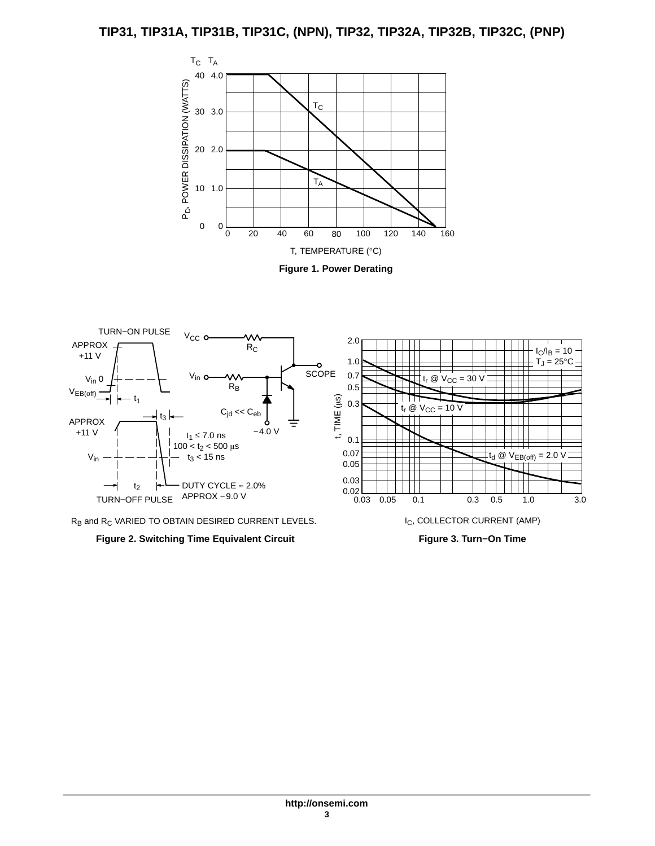## **TIP31, TIP31A, TIP31B, TIP31C, (NPN), TIP32, TIP32A, TIP32B, TIP32C, (PNP)**





 $R_B$  and  $R_C$  VARIED TO OBTAIN DESIRED CURRENT LEVELS.



**Figure 3. Turn−On Time**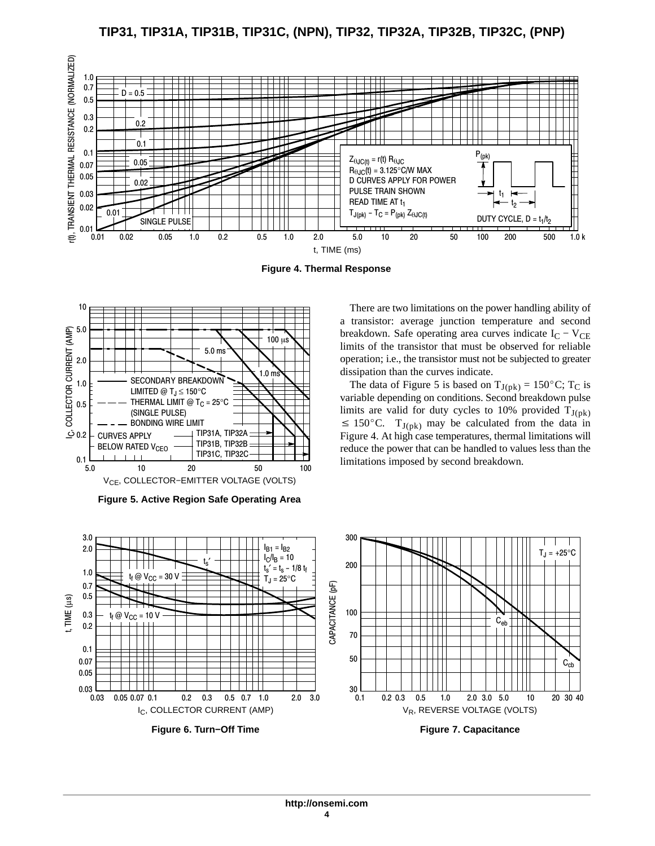**TIP31, TIP31A, TIP31B, TIP31C, (NPN), TIP32, TIP32A, TIP32B, TIP32C, (PNP)**



**Figure 4. Thermal Response**



**Figure 5. Active Region Safe Operating Area**

There are two limitations on the power handling ability of a transistor: average junction temperature and second breakdown. Safe operating area curves indicate  $I_C - V_{CE}$ limits of the transistor that must be observed for reliable operation; i.e., the transistor must not be subjected to greater dissipation than the curves indicate. Example 1. Solved that the data of Figure 5 is based on  $T_{J(pk)} = 150^{\circ}$ C; T<sub>C</sub> is

variable depending on conditions. Second breakdown pulse limits are valid for duty cycles to 10% provided  $T_{J(pk)} \le 150^{\circ}$ C.  $T_{J(pk)}$  may be calculated from the data in  $\leq 150^{\circ}$ C. T<sub>J(pk)</sub> may be calculated from the data in Figure 4. At high case temperatures, thermal limitations will reduce the power that can be handled to values less than the limitations imposed by second breakdown.

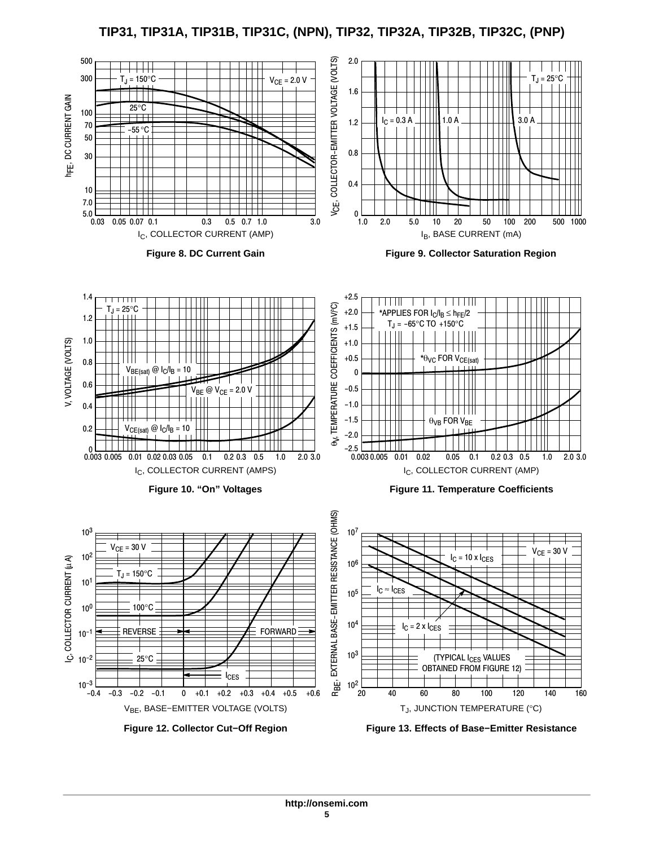**TIP31, TIP31A, TIP31B, TIP31C, (NPN), TIP32, TIP32A, TIP32B, TIP32C, (PNP)**